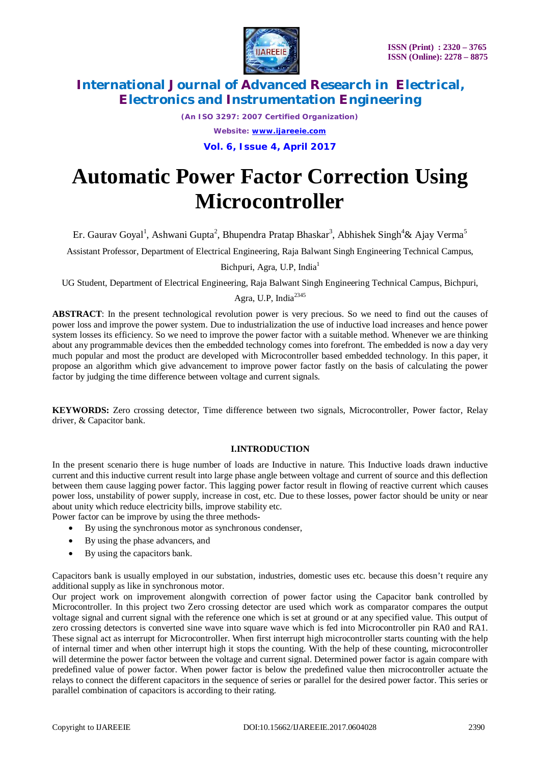

*(An ISO 3297: 2007 Certified Organization) Website: [www.ijareeie.com](http://www.ijareeie.com)* **Vol. 6, Issue 4, April 2017**

## **Automatic Power Factor Correction Using Microcontroller**

Er. Gaurav Goyal<sup>1</sup>, Ashwani Gupta<sup>2</sup>, Bhupendra Pratap Bhaskar<sup>3</sup>, Abhishek Singh<sup>4</sup>& Ajay Verma<sup>5</sup>

Assistant Professor, Department of Electrical Engineering, Raja Balwant Singh Engineering Technical Campus,

Bichpuri, Agra, U.P, India<sup>1</sup>

UG Student, Department of Electrical Engineering, Raja Balwant Singh Engineering Technical Campus, Bichpuri,

Agra, U.P. India<sup>2345</sup>

**ABSTRACT**: In the present technological revolution power is very precious. So we need to find out the causes of power loss and improve the power system. Due to industrialization the use of inductive load increases and hence power system losses its efficiency. So we need to improve the power factor with a suitable method. Whenever we are thinking about any programmable devices then the embedded technology comes into forefront. The embedded is now a day very much popular and most the product are developed with Microcontroller based embedded technology. In this paper, it propose an algorithm which give advancement to improve power factor fastly on the basis of calculating the power factor by judging the time difference between voltage and current signals.

**KEYWORDS:** Zero crossing detector, Time difference between two signals, Microcontroller, Power factor, Relay driver, & Capacitor bank.

#### **I.INTRODUCTION**

In the present scenario there is huge number of loads are Inductive in nature. This Inductive loads drawn inductive current and this inductive current result into large phase angle between voltage and current of source and this deflection between them cause lagging power factor. This lagging power factor result in flowing of reactive current which causes power loss, unstability of power supply, increase in cost, etc. Due to these losses, power factor should be unity or near about unity which reduce electricity bills, improve stability etc.

Power factor can be improve by using the three methods-

- By using the synchronous motor as synchronous condenser,
- By using the phase advancers, and
- By using the capacitors bank.

Capacitors bank is usually employed in our substation, industries, domestic uses etc. because this doesn't require any additional supply as like in synchronous motor.

Our project work on improvement alongwith correction of power factor using the Capacitor bank controlled by Microcontroller. In this project two Zero crossing detector are used which work as comparator compares the output voltage signal and current signal with the reference one which is set at ground or at any specified value. This output of zero crossing detectors is converted sine wave into square wave which is fed into Microcontroller pin RA0 and RA1. These signal act as interrupt for Microcontroller. When first interrupt high microcontroller starts counting with the help of internal timer and when other interrupt high it stops the counting. With the help of these counting, microcontroller will determine the power factor between the voltage and current signal. Determined power factor is again compare with predefined value of power factor. When power factor is below the predefined value then microcontroller actuate the relays to connect the different capacitors in the sequence of series or parallel for the desired power factor. This series or parallel combination of capacitors is according to their rating.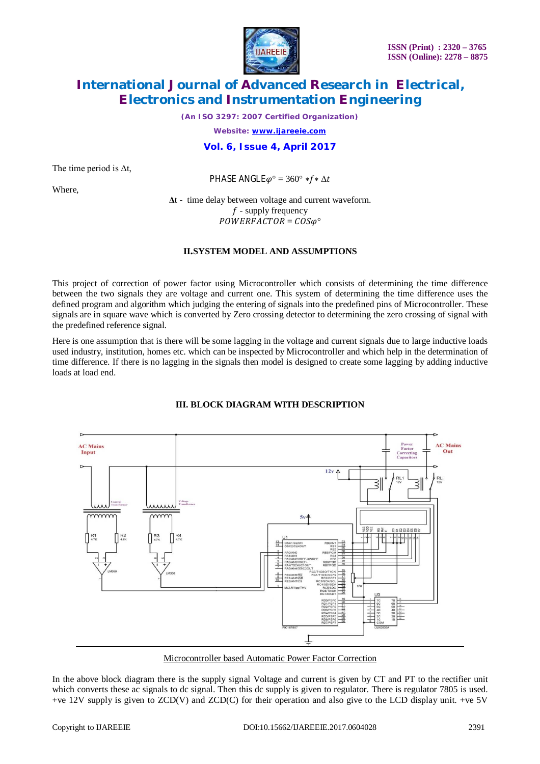

*(An ISO 3297: 2007 Certified Organization)*

*Website: [www.ijareeie.com](http://www.ijareeie.com)*

**Vol. 6, Issue 4, April 2017**

The time period is  $\Delta t$ ,

PHASE ANGLE $\varphi^{\circ} = 360^{\circ} * f * \Delta t$ 

Where,

**Δ**t - time delay between voltage and current waveform.  $f$  - supply frequency  $POWERFACTOR = COS\varphi^{\circ}$ 

## **II.SYSTEM MODEL AND ASSUMPTIONS**

This project of correction of power factor using Microcontroller which consists of determining the time difference between the two signals they are voltage and current one. This system of determining the time difference uses the defined program and algorithm which judging the entering of signals into the predefined pins of Microcontroller. These signals are in square wave which is converted by Zero crossing detector to determining the zero crossing of signal with the predefined reference signal.

Here is one assumption that is there will be some lagging in the voltage and current signals due to large inductive loads used industry, institution, homes etc. which can be inspected by Microcontroller and which help in the determination of time difference. If there is no lagging in the signals then model is designed to create some lagging by adding inductive loads at load end.

# **AC Mains AC Mains** Input Out  $\overline{12}$  $5v<sub>4</sub>$  $\frac{1}{2}$ J

**III. BLOCK DIAGRAM WITH DESCRIPTION**

Microcontroller based Automatic Power Factor Correction

In the above block diagram there is the supply signal Voltage and current is given by CT and PT to the rectifier unit which converts these ac signals to dc signal. Then this dc supply is given to regulator. There is regulator 7805 is used. +ve 12V supply is given to ZCD(V) and ZCD(C) for their operation and also give to the LCD display unit. +ve 5V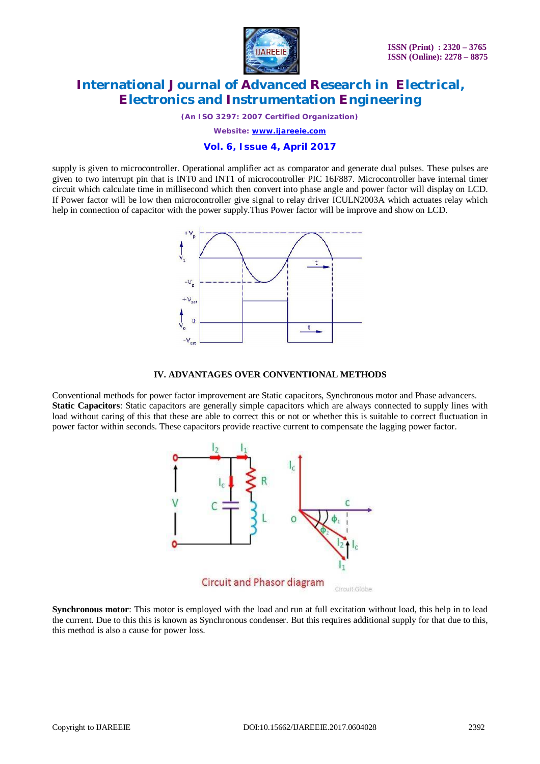

*(An ISO 3297: 2007 Certified Organization)*

*Website: [www.ijareeie.com](http://www.ijareeie.com)*

## **Vol. 6, Issue 4, April 2017**

supply is given to microcontroller. Operational amplifier act as comparator and generate dual pulses. These pulses are given to two interrupt pin that is INT0 and INT1 of microcontroller PIC 16F887. Microcontroller have internal timer circuit which calculate time in millisecond which then convert into phase angle and power factor will display on LCD. If Power factor will be low then microcontroller give signal to relay driver ICULN2003A which actuates relay which help in connection of capacitor with the power supply.Thus Power factor will be improve and show on LCD.



#### **IV. ADVANTAGES OVER CONVENTIONAL METHODS**

Conventional methods for power factor improvement are Static capacitors, Synchronous motor and Phase advancers. **Static Capacitors**: Static capacitors are generally simple capacitors which are always connected to supply lines with load without caring of this that these are able to correct this or not or whether this is suitable to correct fluctuation in power factor within seconds. These capacitors provide reactive current to compensate the lagging power factor.



**Synchronous motor**: This motor is employed with the load and run at full excitation without load, this help in to lead the current. Due to this this is known as Synchronous condenser. But this requires additional supply for that due to this, this method is also a cause for power loss.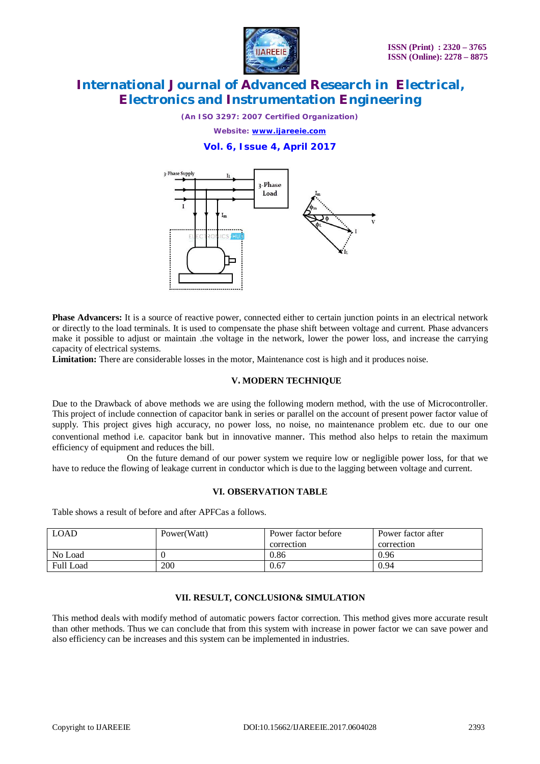

*(An ISO 3297: 2007 Certified Organization)*

*Website: [www.ijareeie.com](http://www.ijareeie.com)*

#### **Vol. 6, Issue 4, April 2017**



**Phase Advancers:** It is a source of reactive power, connected either to certain junction points in an electrical network or directly to the load terminals. It is used to compensate the phase shift between voltage and current. Phase advancers make it possible to adjust or maintain .the voltage in the network, lower the power loss, and increase the carrying capacity of electrical systems.

Limitation: There are considerable losses in the motor, Maintenance cost is high and it produces noise.

## **V. MODERN TECHNIQUE**

Due to the Drawback of above methods we are using the following modern method, with the use of Microcontroller. This project of include connection of capacitor bank in series or parallel on the account of present power factor value of supply. This project gives high accuracy, no power loss, no noise, no maintenance problem etc. due to our one conventional method i.e. capacitor bank but in innovative manner. This method also helps to retain the maximum efficiency of equipment and reduces the bill.

 On the future demand of our power system we require low or negligible power loss, for that we have to reduce the flowing of leakage current in conductor which is due to the lagging between voltage and current.

#### **VI. OBSERVATION TABLE**

Table shows a result of before and after APFCas a follows.

| <b>LOAD</b> | Power(Watt) | Power factor before | Power factor after |
|-------------|-------------|---------------------|--------------------|
|             |             | correction          | correction         |
| No Load     |             | 0.86                | 0.96               |
| Full Load   | 200         | 0.67                | 0.94               |

#### **VII. RESULT, CONCLUSION& SIMULATION**

This method deals with modify method of automatic powers factor correction. This method gives more accurate result than other methods. Thus we can conclude that from this system with increase in power factor we can save power and also efficiency can be increases and this system can be implemented in industries.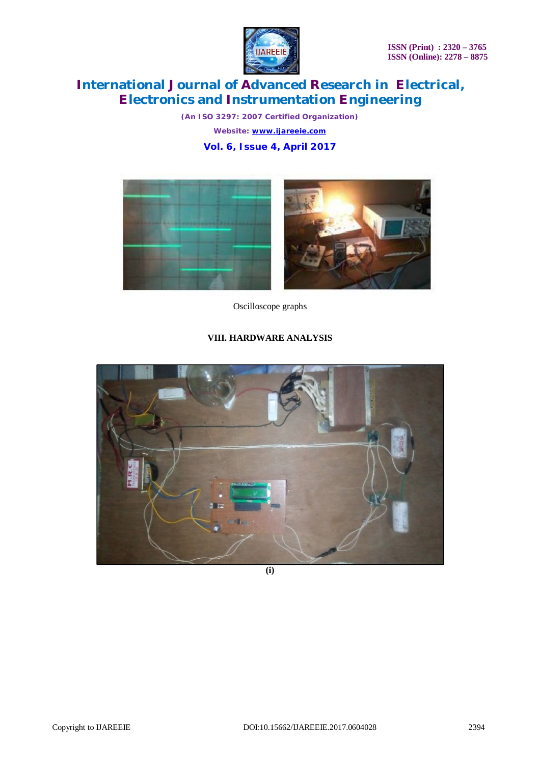



*(An ISO 3297: 2007 Certified Organization) Website: [www.ijareeie.com](http://www.ijareeie.com)* **Vol. 6, Issue 4, April 2017**



Oscilloscope graphs

## **VIII. HARDWARE ANALYSIS**



**(i)**